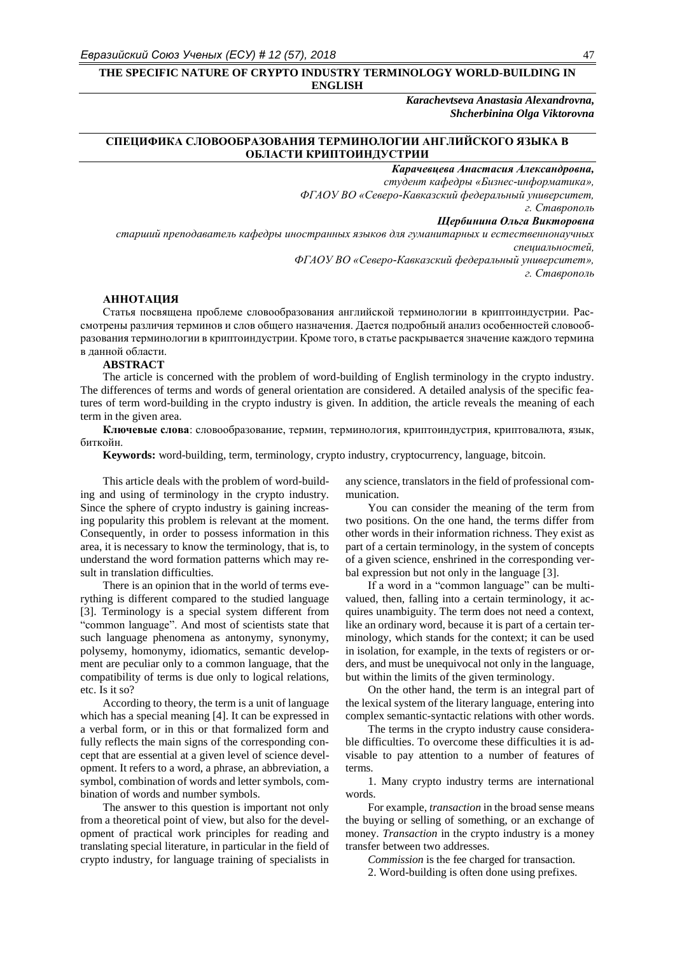## **THE SPECIFIC NATURE OF CRYPTO INDUSTRY TERMINOLOGY WORLD-BUILDING IN ENGLISH**

*Karachevtseva Anastasia Alexandrovna, Shcherbinina Olga Viktorovna*

# **СПЕЦИФИКА СЛОВООБРАЗОВАНИЯ ТЕРМИНОЛОГИИ АНГЛИЙСКОГО ЯЗЫКА В ОБЛАСТИ КРИПТОИНДУСТРИИ**

*Карачевцева Анастасия Александровна,*

*студент кафедры «Бизнес-информатика»,* 

*ФГАОУ ВО «Северо-Кавказский федеральный университет,*

*г. Ставрополь* 

#### *Щербинина Ольга Викторовна*

*старший преподаватель кафедры иностранных языков для гуманитарных и естественнонаучных специальностей, ФГАОУ ВО «Северо-Кавказский федеральный университет»,* 

*г. Ставрополь* 

## **АННОТАЦИЯ**

Статья посвящена проблеме словообразования английской терминологии в криптоиндустрии. Рассмотрены различия терминов и слов общего назначения. Дается подробный анализ особенностей словообразования терминологии в криптоиндустрии. Кроме того, в статье раскрывается значение каждого термина в данной области.

#### **ABSTRACT**

The article is concerned with the problem of word-building of English terminology in the crypto industry. The differences of terms and words of general orientation are considered. A detailed analysis of the specific features of term word-building in the crypto industry is given. In addition, the article reveals the meaning of each term in the given area.

**Ключевые слова**: словообразование, термин, терминология, криптоиндустрия, криптовалюта, язык, биткойн.

**Keywords:** word-building, term, terminology, crypto industry, cryptocurrency, language, bitcoin.

This article deals with the problem of word-building and using of terminology in the crypto industry. Since the sphere of crypto industry is gaining increasing popularity this problem is relevant at the moment. Consequently, in order to possess information in this area, it is necessary to know the terminology, that is, to understand the word formation patterns which may result in translation difficulties.

There is an opinion that in the world of terms everything is different compared to the studied language [3]. Terminology is a special system different from "common language". And most of scientists state that such language phenomena as antonymy, synonymy, polysemy, homonymy, idiomatics, semantic development are peculiar only to a common language, that the compatibility of terms is due only to logical relations, etc. Is it so?

According to theory, the term is a unit of language which has a special meaning [4]. It can be expressed in a verbal form, or in this or that formalized form and fully reflects the main signs of the corresponding concept that are essential at a given level of science development. It refers to a word, a phrase, an abbreviation, a symbol, combination of words and letter symbols, combination of words and number symbols.

The answer to this question is important not only from a theoretical point of view, but also for the development of practical work principles for reading and translating special literature, in particular in the field of crypto industry, for language training of specialists in

any science, translators in the field of professional communication.

You can consider the meaning of the term from two positions. On the one hand, the terms differ from other words in their information richness. They exist as part of a certain terminology, in the system of concepts of a given science, enshrined in the corresponding verbal expression but not only in the language [3].

If a word in a "common language" can be multivalued, then, falling into a certain terminology, it acquires unambiguity. The term does not need a context, like an ordinary word, because it is part of a certain terminology, which stands for the context; it can be used in isolation, for example, in the texts of registers or orders, and must be unequivocal not only in the language, but within the limits of the given terminology.

On the other hand, the term is an integral part of the lexical system of the literary language, entering into complex semantic-syntactic relations with other words.

The terms in the crypto industry cause considerable difficulties. To overcome these difficulties it is advisable to pay attention to a number of features of terms.

1. Many crypto industry terms are international words.

For example, *transaction* in the broad sense means the [buying](https://dictionary.cambridge.org/ru/%D1%81%D0%BB%D0%BE%D0%B2%D0%B0%D1%80%D1%8C/%D0%B0%D0%BD%D0%B3%D0%BB%D0%BE-%D1%80%D1%83%D1%81%D1%81%D0%BA%D0%B8%D0%B9/buy_1) or [selling](https://dictionary.cambridge.org/ru/%D1%81%D0%BB%D0%BE%D0%B2%D0%B0%D1%80%D1%8C/%D0%B0%D0%BD%D0%B3%D0%BB%D0%BE-%D1%80%D1%83%D1%81%D1%81%D0%BA%D0%B8%D0%B9/sell) of something, or an [exchange](https://dictionary.cambridge.org/ru/%D1%81%D0%BB%D0%BE%D0%B2%D0%B0%D1%80%D1%8C/%D0%B0%D0%BD%D0%B3%D0%BB%D0%BE-%D1%80%D1%83%D1%81%D1%81%D0%BA%D0%B8%D0%B9/exchange_1) of [money.](https://dictionary.cambridge.org/ru/%D1%81%D0%BB%D0%BE%D0%B2%D0%B0%D1%80%D1%8C/%D0%B0%D0%BD%D0%B3%D0%BB%D0%BE-%D1%80%D1%83%D1%81%D1%81%D0%BA%D0%B8%D0%B9/money) *Transaction* in the crypto industry is a money transfer between two addresses.

*Commission* is the fee charged for transaction.

2. Word-building is often done using prefixes.